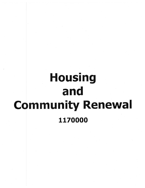# **Housing** and **Community Renewal** 1170000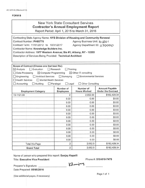#### FORM B

## New York State Consultant Services **Contractor's Annual Employment Report**

Report Period: April 1, 2015 to March 31, 2016

| Contracting State Agency Name: NYS Division of Housing and Community Renewal<br>Contract Number: PH65776<br>Agency Business Unit: H CRO I<br>Contract Term: 11/01/2012 to 10/31/2017<br>Agency Department ID: 1170000<br>Contractor Name: Knowledge Builders Inc.<br>Contractor Address: 1977 Western Avenue; Ste #1; Albany, NY - 12203<br>Description of Services Being Provided: Technical Architect                                         |                               |                                  |                                                    |  |
|-------------------------------------------------------------------------------------------------------------------------------------------------------------------------------------------------------------------------------------------------------------------------------------------------------------------------------------------------------------------------------------------------------------------------------------------------|-------------------------------|----------------------------------|----------------------------------------------------|--|
|                                                                                                                                                                                                                                                                                                                                                                                                                                                 |                               |                                  |                                                    |  |
| Scope of Contract (Choose one that best fits):<br>$\boxtimes$ Analysis<br>$\Box$ Evaluation<br>Research<br>Training<br>$\boxtimes$ Other IT consulting<br>Data Processing<br>$\boxtimes$ Computer Programming<br>Architect Services<br>$\Box$ Surveying<br>Environmental Services<br>Engineering<br><b>Health Services</b><br>Mental Health Services<br>$\Box$ Legal<br>□ Other Consulting<br>Accounting<br>$\Box$ Auditing<br>$\Box$ Paralegal |                               |                                  |                                                    |  |
| <b>Employment Category</b>                                                                                                                                                                                                                                                                                                                                                                                                                      | Number of<br><b>Employees</b> | Number of<br><b>Hours Worked</b> | <b>Amount Payable</b><br><b>Under the Contract</b> |  |
| 15-1121.00                                                                                                                                                                                                                                                                                                                                                                                                                                      | $\overline{2}$                | 2,052.50                         | \$182,429.34                                       |  |
|                                                                                                                                                                                                                                                                                                                                                                                                                                                 | 0.00                          | 0.00                             | \$0.00                                             |  |
|                                                                                                                                                                                                                                                                                                                                                                                                                                                 | 0.00                          | 0.00                             | \$0.00                                             |  |
|                                                                                                                                                                                                                                                                                                                                                                                                                                                 | 0.00                          | 0.00                             | \$0.00                                             |  |
|                                                                                                                                                                                                                                                                                                                                                                                                                                                 | 0.00                          | 0.00                             | \$0.00                                             |  |
|                                                                                                                                                                                                                                                                                                                                                                                                                                                 | 0.00                          | 0.00                             | \$0.00                                             |  |
|                                                                                                                                                                                                                                                                                                                                                                                                                                                 | 0.00                          | 0.00                             | \$0.00                                             |  |
|                                                                                                                                                                                                                                                                                                                                                                                                                                                 | 0.00                          | 0.00                             | \$0.00                                             |  |
|                                                                                                                                                                                                                                                                                                                                                                                                                                                 | 0.00                          | 0.00                             | \$0.00                                             |  |
|                                                                                                                                                                                                                                                                                                                                                                                                                                                 | 0.00                          | 0.00                             | \$0.00                                             |  |
|                                                                                                                                                                                                                                                                                                                                                                                                                                                 | 0.00                          | 0.00                             | \$0.00                                             |  |
|                                                                                                                                                                                                                                                                                                                                                                                                                                                 | 0.00                          | 0.00                             | \$0.00                                             |  |
|                                                                                                                                                                                                                                                                                                                                                                                                                                                 | 0.00                          | 0.00                             | \$0.00                                             |  |
| <b>Total this Page</b>                                                                                                                                                                                                                                                                                                                                                                                                                          | $\overline{2}$                | 2,052.5                          | \$182,429.34                                       |  |
| <b>Grand Total</b>                                                                                                                                                                                                                                                                                                                                                                                                                              | $\overline{2}$                | 2,052.5                          | \$182,429.34                                       |  |

Name of person who prepared this report: Sanjay Kapalli

Title: Executive Vice President **Phone #: 518-810-7478** 

Klewiay

Preparer's Signature:

Date Prepared: *05/05/2016*

(Use additional pages, if necessary)